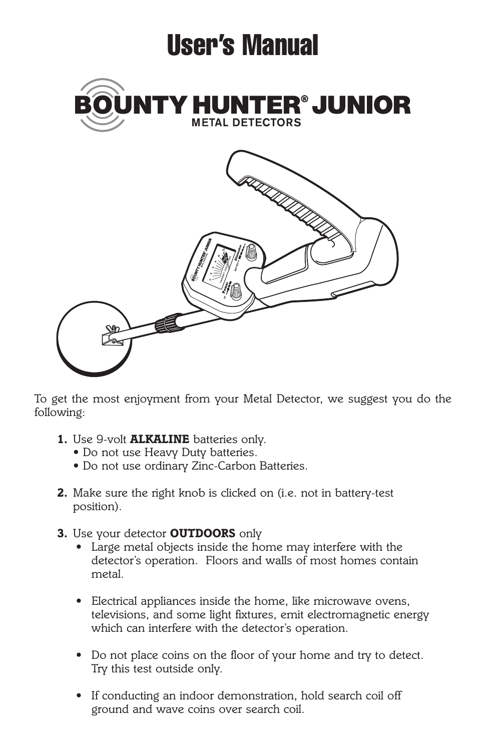

*To get the most enjoyment from your Metal Detector, we suggest you do the following:*

- *1. Use 9-volt ALKALINE batteries only.*
	- *Do not use Heavy Duty batteries.*
	- *Do not use ordinary Zinc-Carbon Batteries.*
- *2. Make sure the right knob is clicked on (i.e. not in battery-test position).*
- *3. Use your detector OUTDOORS only*
	- *Large metal objects inside the home may interfere with the detector's operation. Floors and walls of most homes contain metal.*
	- *Electrical appliances inside the home, like microwave ovens, televisions, and some light fixtures, emit electromagnetic energy which can interfere with the detector's operation.*
	- *Do not place coins on the floor of your home and try to detect. Try this test outside only.*
	- *If conducting an indoor demonstration, hold search coil off ground and wave coins over search coil.*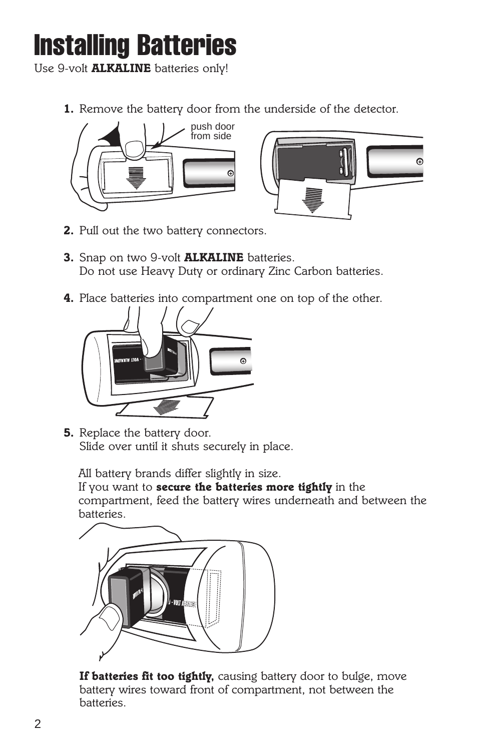### **Installing Batteries**

*Use 9-volt ALKALINE batteries only!*

*1. Remove the battery door from the underside of the detector.*





- *2. Pull out the two battery connectors.*
- *3. Snap on two 9-volt ALKALINE batteries. Do not use Heavy Duty or ordinary Zinc Carbon batteries.*
- *4. Place batteries into compartment one on top of the other.*



*5. Replace the battery door. Slide over until it shuts securely in place.*

*All battery brands differ slightly in size.*

*If you want to secure the batteries more tightly in the compartment, feed the battery wires underneath and between the batteries.*



*If batteries fit too tightly, causing battery door to bulge, move battery wires toward front of compartment, not between the batteries.*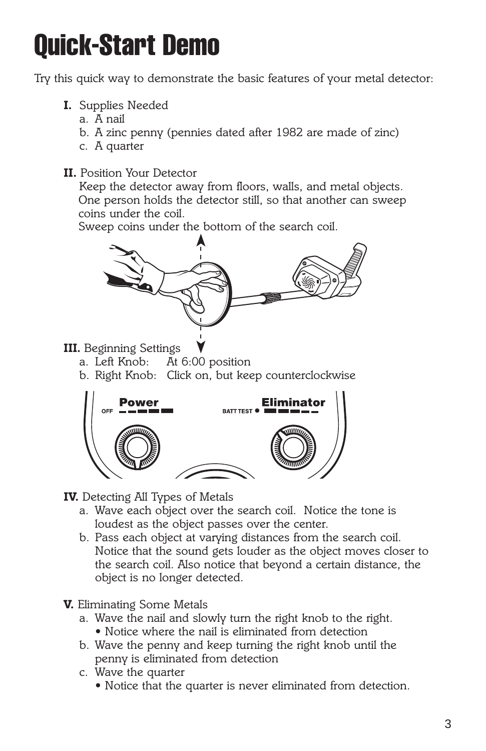## **Quick-Start Demo**

*Try this quick way to demonstrate the basic features of your metal detector:*

- *I. Supplies Needed*
	- *a. A nail*
	- *b. A zinc penny (pennies dated after 1982 are made of zinc)*
	- *c. A quarter*
- *II. Position Your Detector*

*Keep the detector away from floors, walls, and metal objects. One person holds the detector still, so that another can sweep coins under the coil.*

*Sweep coins under the bottom of the search coil.*



- *III. Beginning Settings*
	- *a. Left Knob: At 6:00 position*
	- *b. Right Knob: Click on, but keep counterclockwise*



- *IV. Detecting All Types of Metals*
	- *a. Wave each object over the search coil. Notice the tone is loudest as the object passes over the center.*
	- *b. Pass each object at varying distances from the search coil. Notice that the sound gets louder as the object moves closer to the search coil. Also notice that beyond a certain distance, the object is no longer detected.*
- *V. Eliminating Some Metals*
	- *a. Wave the nail and slowly turn the right knob to the right. • Notice where the nail is eliminated from detection*
	- *b. Wave the penny and keep turning the right knob until the penny is eliminated from detection*
	- *c. Wave the quarter*
		- *Notice that the quarter is never eliminated from detection.*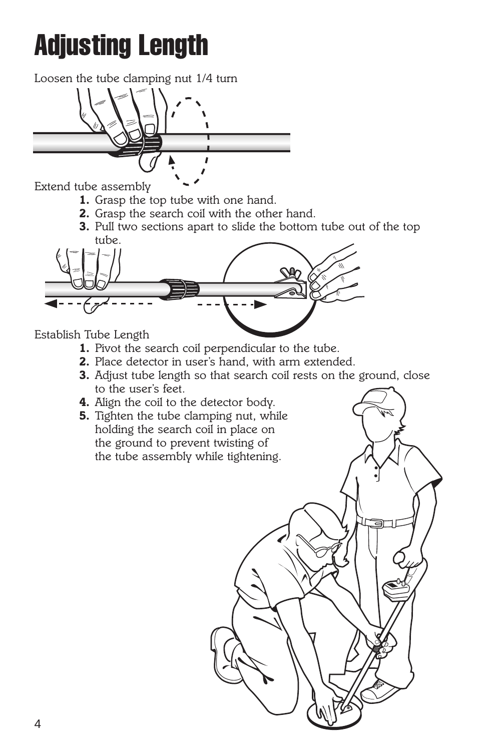# **Adjusting Length**

*Loosen the tube clamping nut 1/4 turn*



*Extend tube assembly*

- *1. Grasp the top tube with one hand.*
- *2. Grasp the search coil with the other hand.*
- *3. Pull two sections apart to slide the bottom tube out of the top tube.*



*Establish Tube Length*

- *1. Pivot the search coil perpendicular to the tube.*
- *2. Place detector in user's hand, with arm extended.*
- *3. Adjust tube length so that search coil rests on the ground, close to the user's feet.*
- *4. Align the coil to the detector body.*
- *5. Tighten the tube clamping nut, while holding the search coil in place on the ground to prevent twisting of the tube assembly while tightening.*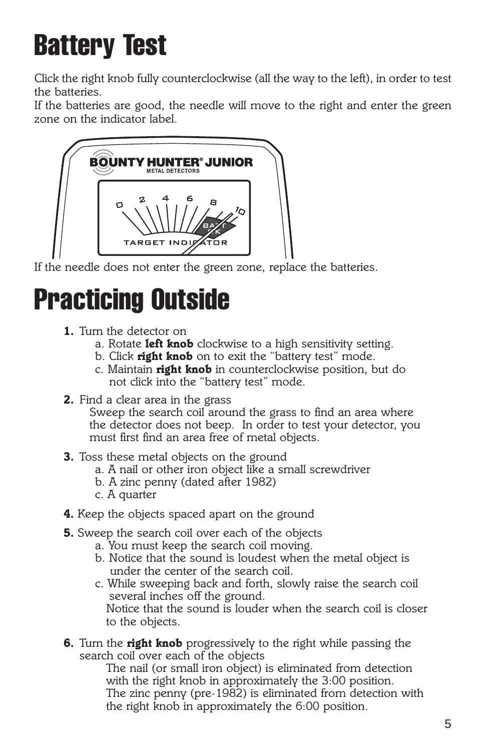# **Battery Test**

*Click the right knob fully counterclockwise (all the way to the left), in order to test the batteries.*

*If the batteries are good, the needle will move to the right and enter the green zone on the indicator label.*



*If the needle does not enter the green zone, replace the batteries.*

### **Practicing Outside**

- *1. Turn the detector on*
	- *a. Rotate left knob clockwise to a high sensitivity setting.*
	- *b. Click right knob on to exit the "battery test" mode.*
	- *c. Maintain right knob in counterclockwise position, but do not click into the "battery test" mode.*
- *2. Find a clear area in the grass Sweep the search coil around the grass to find an area where the detector does not beep. In order to test your detector, you must first find an area free of metal objects.*
- *3. Toss these metal objects on the ground*
	- *a. A nail or other iron object like a small screwdriver*
	- *b. A zinc penny (dated after 1982)*
	- *c. A quarter*
- *4. Keep the objects spaced apart on the ground*
- *5. Sweep the search coil over each of the objects*
	- *a. You must keep the search coil moving.*
	- *b. Notice that the sound is loudest when the metal object is under the center of the search coil.*
	- *c. While sweeping back and forth, slowly raise the search coil several inches off the ground.*

*Notice that the sound is louder when the search coil is closer to the objects.*

*6. Turn the right knob progressively to the right while passing the search coil over each of the objects*

*The nail (or small iron object) is eliminated from detection with the right knob in approximately the 3:00 position. The zinc penny (pre-1982) is eliminated from detection with the right knob in approximately the 6:00 position.*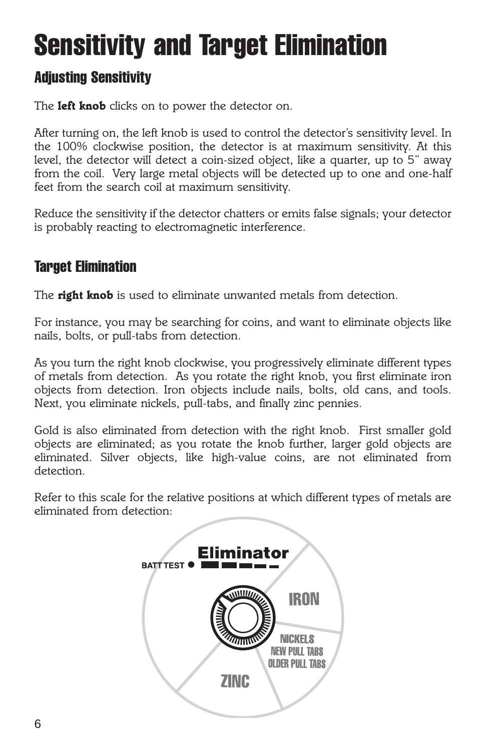## **Sensitivity and Target Elimination**

#### **Adjusting Sensitivity**

*The left knob clicks on to power the detector on.*

*After turning on, the left knob is used to control the detector's sensitivity level. In the 100% clockwise position, the detector is at maximum sensitivity. At this level, the detector will detect a coin-sized object, like a quarter, up to 5" away from the coil. Very large metal objects will be detected up to one and one-half feet from the search coil at maximum sensitivity.*

*Reduce the sensitivity if the detector chatters or emits false signals; your detector is probably reacting to electromagnetic interference.*

### **Target Elimination**

*The right knob is used to eliminate unwanted metals from detection.*

*For instance, you may be searching for coins, and want to eliminate objects like nails, bolts, or pull-tabs from detection.*

*As you turn the right knob clockwise, you progressively eliminate different types of metals from detection. As you rotate the right knob, you first eliminate iron objects from detection. Iron objects include nails, bolts, old cans, and tools. Next, you eliminate nickels, pull-tabs, and finally zinc pennies.*

*Gold is also eliminated from detection with the right knob. First smaller gold objects are eliminated; as you rotate the knob further, larger gold objects are eliminated. Silver objects, like high-value coins, are not eliminated from detection.*

*Refer to this scale for the relative positions at which different types of metals are eliminated from detection:*

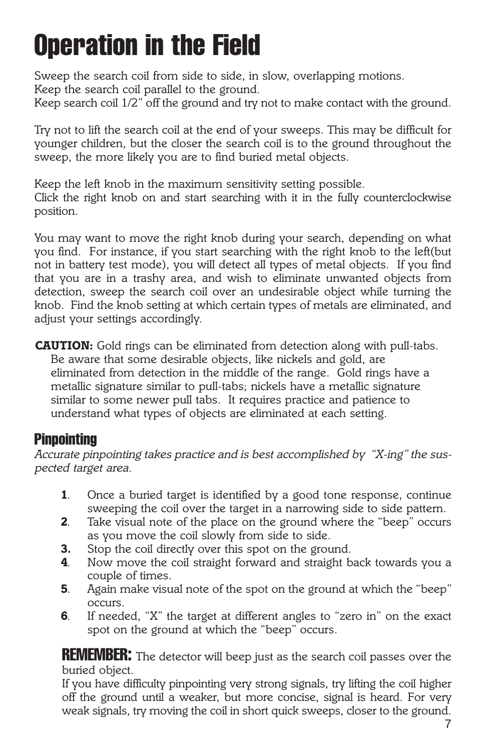## **Operation in the Field**

*Sweep the search coil from side to side, in slow, overlapping motions. Keep the search coil parallel to the ground. Keep search coil 1/2" off the ground and try not to make contact with the ground.*

*Try not to lift the search coil at the end of your sweeps. This may be difficult for younger children, but the closer the search coil is to the ground throughout the sweep, the more likely you are to find buried metal objects.*

*Keep the left knob in the maximum sensitivity setting possible. Click the right knob on and start searching with it in the fully counterclockwise position.*

*You may want to move the right knob during your search, depending on what you find. For instance, if you start searching with the right knob to the left(but not in battery test mode), you will detect all types of metal objects. If you find that you are in a trashy area, and wish to eliminate unwanted objects from detection, sweep the search coil over an undesirable object while turning the knob. Find the knob setting at which certain types of metals are eliminated, and adjust your settings accordingly.* 

*CAUTION: Gold rings can be eliminated from detection along with pull-tabs. Be aware that some desirable objects, like nickels and gold, are eliminated from detection in the middle of the range. Gold rings have a metallic signature similar to pull-tabs; nickels have a metallic signature similar to some newer pull tabs. It requires practice and patience to understand what types of objects are eliminated at each setting.*

#### **Pinpointing**

*Accurate pinpointing takes practice and is best accomplished by "X-ing" the suspected target area.*

- *1. Once a buried target is identified by a good tone response, continue sweeping the coil over the target in a narrowing side to side pattern.*
- *2. Take visual note of the place on the ground where the "beep" occurs as you move the coil slowly from side to side.*
- *3. Stop the coil directly over this spot on the ground.*
- *4. Now move the coil straight forward and straight back towards you a couple of times.*
- *5. Again make visual note of the spot on the ground at which the "beep" occurs.*
- *6. If needed, "X" the target at different angles to "zero in" on the exact spot on the ground at which the "beep" occurs.*

**REMEMBER:** *The detector will beep just as the search coil passes over the buried object.*

*If you have difficulty pinpointing very strong signals, try lifting the coil higher off the ground until a weaker, but more concise, signal is heard. For very weak signals, try moving the coil in short quick sweeps, closer to the ground.*